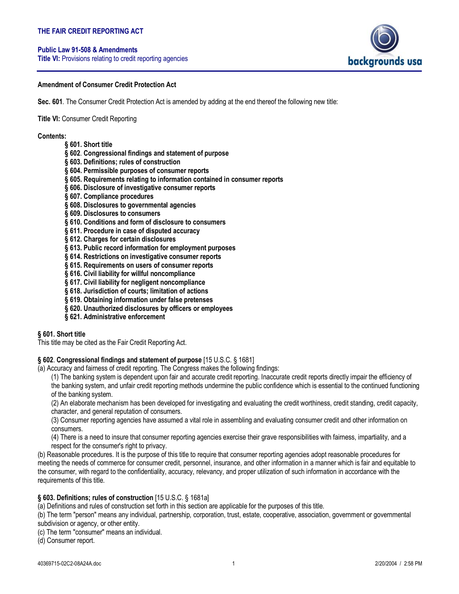

# **Amendment of Consumer Credit Protection Act**

**Sec. 601**. The Consumer Credit Protection Act is amended by adding at the end thereof the following new title:

**Title VI:** Consumer Credit Reporting

#### **Contents:**

- **ß 601. Short title**
- **ß 602**. **Congressional findings and statement of purpose**
- **ß 603. Definitions; rules of construction**
- **ß 604. Permissible purposes of consumer reports**
- **ß 605. Requirements relating to information contained in consumer reports**
- **ß 606. Disclosure of investigative consumer reports**
- **ß 607. Compliance procedures**
- **ß 608. Disclosures to governmental agencies**
- **ß 609. Disclosures to consumers**
- **ß 610. Conditions and form of disclosure to consumers**
- **ß 611. Procedure in case of disputed accuracy**
- **ß 612. Charges for certain disclosures**
- **ß 613. Public record information for employment purposes**
- **ß 614. Restrictions on investigative consumer reports**
- **ß 615. Requirements on users of consumer reports**
- **ß 616. Civil liability for willful noncompliance**
- **ß 617. Civil liability for negligent noncompliance**
- **ß 618. Jurisdiction of courts; limitation of actions**
- **ß 619. Obtaining information under false pretenses**
- **ß 620. Unauthorized disclosures by officers or employees**
- **ß 621. Administrative enforcement**

#### **ß 601. Short title**

This title may be cited as the Fair Credit Reporting Act.

#### **ß 602**. **Congressional findings and statement of purpose** [15 U.S.C. ß 1681]

(a) Accuracy and fairness of credit reporting. The Congress makes the following findings:

(1) The banking system is dependent upon fair and accurate credit reporting. Inaccurate credit reports directly impair the efficiency of the banking system, and unfair credit reporting methods undermine the public confidence which is essential to the continued functioning of the banking system.

(2) An elaborate mechanism has been developed for investigating and evaluating the credit worthiness, credit standing, credit capacity, character, and general reputation of consumers.

(3) Consumer reporting agencies have assumed a vital role in assembling and evaluating consumer credit and other information on consumers.

(4) There is a need to insure that consumer reporting agencies exercise their grave responsibilities with fairness, impartiality, and a respect for the consumer's right to privacy.

(b) Reasonable procedures. It is the purpose of this title to require that consumer reporting agencies adopt reasonable procedures for meeting the needs of commerce for consumer credit, personnel, insurance, and other information in a manner which is fair and equitable to the consumer, with regard to the confidentiality, accuracy, relevancy, and proper utilization of such information in accordance with the requirements of this title.

#### **ß 603. Definitions; rules of construction** [15 U.S.C. ß 1681a]

(a) Definitions and rules of construction set forth in this section are applicable for the purposes of this title.

(b) The term "person" means any individual, partnership, corporation, trust, estate, cooperative, association, government or governmental subdivision or agency, or other entity.

(c) The term "consumer" means an individual.

(d) Consumer report.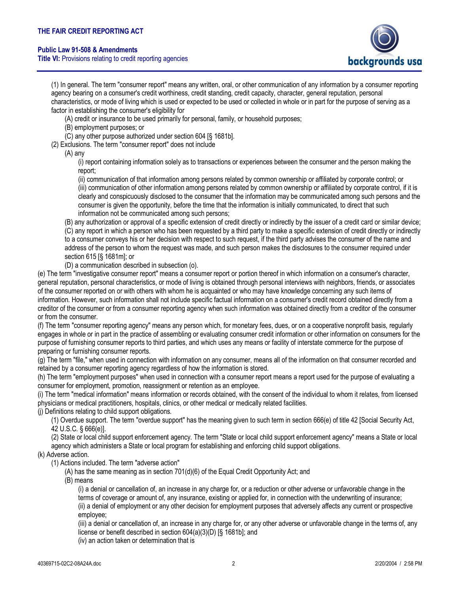**Title VI:** Provisions relating to credit reporting agencies



(1) In general. The term "consumer report" means any written, oral, or other communication of any information by a consumer reporting agency bearing on a consumer's credit worthiness, credit standing, credit capacity, character, general reputation, personal characteristics, or mode of living which is used or expected to be used or collected in whole or in part for the purpose of serving as a factor in establishing the consumer's eligibility for

(A) credit or insurance to be used primarily for personal, family, or household purposes;

(B) employment purposes; or

(C) any other purpose authorized under section 604 [ß 1681b].

(2) Exclusions. The term "consumer report" does not include

(A) any

(i) report containing information solely as to transactions or experiences between the consumer and the person making the report;

(ii) communication of that information among persons related by common ownership or affiliated by corporate control; or (iii) communication of other information among persons related by common ownership or affiliated by corporate control, if it is clearly and conspicuously disclosed to the consumer that the information may be communicated among such persons and the consumer is given the opportunity, before the time that the information is initially communicated, to direct that such information not be communicated among such persons;

(B) any authorization or approval of a specific extension of credit directly or indirectly by the issuer of a credit card or similar device; (C) any report in which a person who has been requested by a third party to make a specific extension of credit directly or indirectly to a consumer conveys his or her decision with respect to such request, if the third party advises the consumer of the name and address of the person to whom the request was made, and such person makes the disclosures to the consumer required under section 615 [ß 1681m]; or

(D) a communication described in subsection (o).

(e) The term "investigative consumer report" means a consumer report or portion thereof in which information on a consumer's character, general reputation, personal characteristics, or mode of living is obtained through personal interviews with neighbors, friends, or associates of the consumer reported on or with others with whom he is acquainted or who may have knowledge concerning any such items of information. However, such information shall not include specific factual information on a consumer's credit record obtained directly from a creditor of the consumer or from a consumer reporting agency when such information was obtained directly from a creditor of the consumer or from the consumer.

(f) The term "consumer reporting agency" means any person which, for monetary fees, dues, or on a cooperative nonprofit basis, regularly engages in whole or in part in the practice of assembling or evaluating consumer credit information or other information on consumers for the purpose of furnishing consumer reports to third parties, and which uses any means or facility of interstate commerce for the purpose of preparing or furnishing consumer reports.

(g) The term "file," when used in connection with information on any consumer, means all of the information on that consumer recorded and retained by a consumer reporting agency regardless of how the information is stored.

(h) The term "employment purposes" when used in connection with a consumer report means a report used for the purpose of evaluating a consumer for employment, promotion, reassignment or retention as an employee.

(i) The term "medical information" means information or records obtained, with the consent of the individual to whom it relates, from licensed physicians or medical practitioners, hospitals, clinics, or other medical or medically related facilities.

(j) Definitions relating to child support obligations.

(1) Overdue support. The term "overdue support" has the meaning given to such term in section 666(e) of title 42 [Social Security Act, 42 U.S.C. ß 666(e)].

(2) State or local child support enforcement agency. The term "State or local child support enforcement agency" means a State or local agency which administers a State or local program for establishing and enforcing child support obligations.

(k) Adverse action.

(1) Actions included. The term "adverse action"

(A) has the same meaning as in section 701(d)(6) of the Equal Credit Opportunity Act; and

(B) means

(i) a denial or cancellation of, an increase in any charge for, or a reduction or other adverse or unfavorable change in the terms of coverage or amount of, any insurance, existing or applied for, in connection with the underwriting of insurance; (ii) a denial of employment or any other decision for employment purposes that adversely affects any current or prospective employee;

(iii) a denial or cancellation of, an increase in any charge for, or any other adverse or unfavorable change in the terms of, any license or benefit described in section 604(a)(3)(D) [ß 1681b]; and

(iv) an action taken or determination that is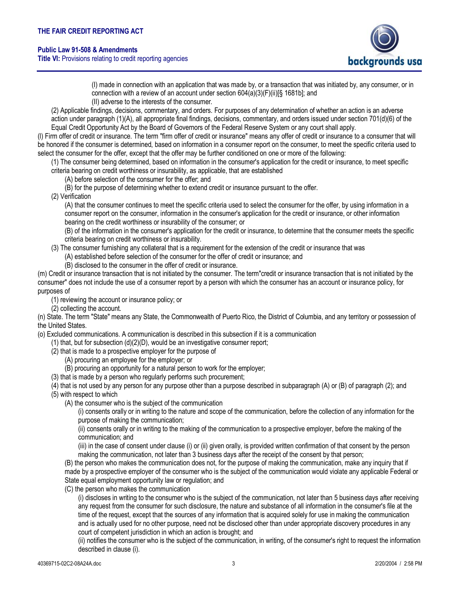**Title VI:** Provisions relating to credit reporting agencies



(I) made in connection with an application that was made by, or a transaction that was initiated by, any consumer, or in connection with a review of an account under section 604(a)(3)(F)(ii)[ß 1681b]; and

(II) adverse to the interests of the consumer.

(2) Applicable findings, decisions, commentary, and orders. For purposes of any determination of whether an action is an adverse action under paragraph (1)(A), all appropriate final findings, decisions, commentary, and orders issued under section 701(d)(6) of the Equal Credit Opportunity Act by the Board of Governors of the Federal Reserve System or any court shall apply.

(l) Firm offer of credit or insurance. The term "firm offer of credit or insurance" means any offer of credit or insurance to a consumer that will be honored if the consumer is determined, based on information in a consumer report on the consumer, to meet the specific criteria used to select the consumer for the offer, except that the offer may be further conditioned on one or more of the following:

(1) The consumer being determined, based on information in the consumer's application for the credit or insurance, to meet specific

- criteria bearing on credit worthiness or insurability, as applicable, that are established
	- (A) before selection of the consumer for the offer; and

(B) for the purpose of determining whether to extend credit or insurance pursuant to the offer.

(2) Verification

(A) that the consumer continues to meet the specific criteria used to select the consumer for the offer, by using information in a consumer report on the consumer, information in the consumer's application for the credit or insurance, or other information bearing on the credit worthiness or insurability of the consumer; or

(B) of the information in the consumer's application for the credit or insurance, to determine that the consumer meets the specific criteria bearing on credit worthiness or insurability.

## (3) The consumer furnishing any collateral that is a requirement for the extension of the credit or insurance that was

(A) established before selection of the consumer for the offer of credit or insurance; and

(B) disclosed to the consumer in the offer of credit or insurance.

(m) Credit or insurance transaction that is not initiated by the consumer. The term"credit or insurance transaction that is not initiated by the consumer" does not include the use of a consumer report by a person with which the consumer has an account or insurance policy, for purposes of

(1) reviewing the account or insurance policy; or

(2) collecting the account.

(n) State. The term "State" means any State, the Commonwealth of Puerto Rico, the District of Columbia, and any territory or possession of the United States.

(o) Excluded communications. A communication is described in this subsection if it is a communication

- (1) that, but for subsection (d)(2)(D), would be an investigative consumer report;
	- (2) that is made to a prospective employer for the purpose of
		- (A) procuring an employee for the employer; or
		- (B) procuring an opportunity for a natural person to work for the employer;
	- (3) that is made by a person who regularly performs such procurement;

(4) that is not used by any person for any purpose other than a purpose described in subparagraph (A) or (B) of paragraph (2); and

- (5) with respect to which
	- (A) the consumer who is the subject of the communication

(i) consents orally or in writing to the nature and scope of the communication, before the collection of any information for the purpose of making the communication;

(ii) consents orally or in writing to the making of the communication to a prospective employer, before the making of the communication; and

(iii) in the case of consent under clause (i) or (ii) given orally, is provided written confirmation of that consent by the person making the communication, not later than 3 business days after the receipt of the consent by that person;

(B) the person who makes the communication does not, for the purpose of making the communication, make any inquiry that if made by a prospective employer of the consumer who is the subject of the communication would violate any applicable Federal or State equal employment opportunity law or regulation; and

(C) the person who makes the communication

(i) discloses in writing to the consumer who is the subject of the communication, not later than 5 business days after receiving any request from the consumer for such disclosure, the nature and substance of all information in the consumer's file at the time of the request, except that the sources of any information that is acquired solely for use in making the communication and is actually used for no other purpose, need not be disclosed other than under appropriate discovery procedures in any court of competent jurisdiction in which an action is brought; and

(ii) notifies the consumer who is the subject of the communication, in writing, of the consumer's right to request the information described in clause (i).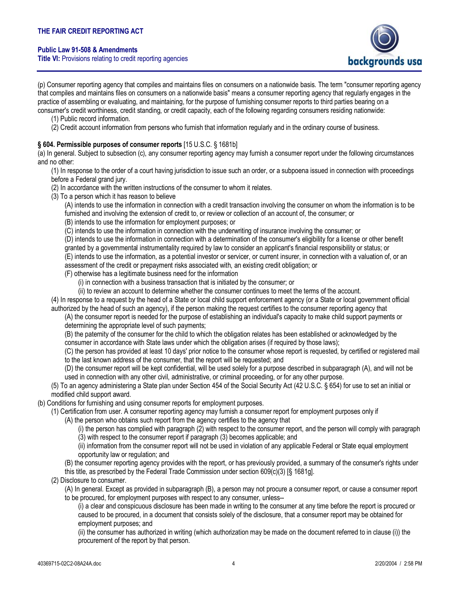**Title VI:** Provisions relating to credit reporting agencies



(p) Consumer reporting agency that compiles and maintains files on consumers on a nationwide basis. The term "consumer reporting agency that compiles and maintains files on consumers on a nationwide basis" means a consumer reporting agency that regularly engages in the practice of assembling or evaluating, and maintaining, for the purpose of furnishing consumer reports to third parties bearing on a consumer's credit worthiness, credit standing, or credit capacity, each of the following regarding consumers residing nationwide:

(1) Public record information.

(2) Credit account information from persons who furnish that information regularly and in the ordinary course of business.

## **ß 604. Permissible purposes of consumer reports** [15 U.S.C. ß 1681b]

(a) In general. Subject to subsection (c), any consumer reporting agency may furnish a consumer report under the following circumstances and no other:

(1) In response to the order of a court having jurisdiction to issue such an order, or a subpoena issued in connection with proceedings before a Federal grand jury.

(2) In accordance with the written instructions of the consumer to whom it relates.

(3) To a person which it has reason to believe

(A) intends to use the information in connection with a credit transaction involving the consumer on whom the information is to be furnished and involving the extension of credit to, or review or collection of an account of, the consumer; or

(B) intends to use the information for employment purposes; or

(C) intends to use the information in connection with the underwriting of insurance involving the consumer; or

(D) intends to use the information in connection with a determination of the consumer's eligibility for a license or other benefit granted by a governmental instrumentality required by law to consider an applicant's financial responsibility or status; or

(E) intends to use the information, as a potential investor or servicer, or current insurer, in connection with a valuation of, or an assessment of the credit or prepayment risks associated with, an existing credit obligation; or

(F) otherwise has a legitimate business need for the information

- (i) in connection with a business transaction that is initiated by the consumer; or
- (ii) to review an account to determine whether the consumer continues to meet the terms of the account.

(4) In response to a request by the head of a State or local child support enforcement agency (or a State or local government official authorized by the head of such an agency), if the person making the request certifies to the consumer reporting agency that

(A) the consumer report is needed for the purpose of establishing an individual's capacity to make child support payments or determining the appropriate level of such payments;

(B) the paternity of the consumer for the child to which the obligation relates has been established or acknowledged by the consumer in accordance with State laws under which the obligation arises (if required by those laws);

(C) the person has provided at least 10 days' prior notice to the consumer whose report is requested, by certified or registered mail to the last known address of the consumer, that the report will be requested; and

(D) the consumer report will be kept confidential, will be used solely for a purpose described in subparagraph (A), and will not be used in connection with any other civil, administrative, or criminal proceeding, or for any other purpose.

(5) To an agency administering a State plan under Section 454 of the Social Security Act (42 U.S.C. ß 654) for use to set an initial or modified child support award.

(b) Conditions for furnishing and using consumer reports for employment purposes.

(1) Certification from user. A consumer reporting agency may furnish a consumer report for employment purposes only if

(A) the person who obtains such report from the agency certifies to the agency that

(i) the person has complied with paragraph (2) with respect to the consumer report, and the person will comply with paragraph

(3) with respect to the consumer report if paragraph (3) becomes applicable; and

(ii) information from the consumer report will not be used in violation of any applicable Federal or State equal employment opportunity law or regulation; and

(B) the consumer reporting agency provides with the report, or has previously provided, a summary of the consumer's rights under this title, as prescribed by the Federal Trade Commission under section 609(c)(3) [ß 1681g].

(2) Disclosure to consumer.

(A) In general. Except as provided in subparagraph (B), a person may not procure a consumer report, or cause a consumer report to be procured, for employment purposes with respect to any consumer, unless--

(i) a clear and conspicuous disclosure has been made in writing to the consumer at any time before the report is procured or caused to be procured, in a document that consists solely of the disclosure, that a consumer report may be obtained for employment purposes; and

(ii) the consumer has authorized in writing (which authorization may be made on the document referred to in clause (i)) the procurement of the report by that person.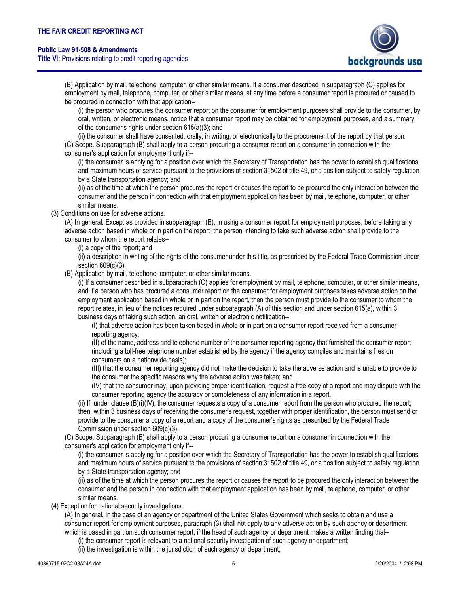**Title VI:** Provisions relating to credit reporting agencies



(B) Application by mail, telephone, computer, or other similar means. If a consumer described in subparagraph (C) applies for employment by mail, telephone, computer, or other similar means, at any time before a consumer report is procured or caused to be procured in connection with that application--

(i) the person who procures the consumer report on the consumer for employment purposes shall provide to the consumer, by oral, written, or electronic means, notice that a consumer report may be obtained for employment purposes, and a summary of the consumer's rights under section 615(a)(3); and

(ii) the consumer shall have consented, orally, in writing, or electronically to the procurement of the report by that person. (C) Scope. Subparagraph (B) shall apply to a person procuring a consumer report on a consumer in connection with the consumer's application for employment only if--

(i) the consumer is applying for a position over which the Secretary of Transportation has the power to establish qualifications and maximum hours of service pursuant to the provisions of section 31502 of title 49, or a position subject to safety regulation by a State transportation agency; and

(ii) as of the time at which the person procures the report or causes the report to be procured the only interaction between the consumer and the person in connection with that employment application has been by mail, telephone, computer, or other similar means.

(3) Conditions on use for adverse actions.

(A) In general. Except as provided in subparagraph (B), in using a consumer report for employment purposes, before taking any adverse action based in whole or in part on the report, the person intending to take such adverse action shall provide to the consumer to whom the report relates--

(i) a copy of the report; and

(ii) a description in writing of the rights of the consumer under this title, as prescribed by the Federal Trade Commission under section 609(c)(3).

(B) Application by mail, telephone, computer, or other similar means.

(i) If a consumer described in subparagraph (C) applies for employment by mail, telephone, computer, or other similar means, and if a person who has procured a consumer report on the consumer for employment purposes takes adverse action on the employment application based in whole or in part on the report, then the person must provide to the consumer to whom the report relates, in lieu of the notices required under subparagraph (A) of this section and under section 615(a), within 3 business days of taking such action, an oral, written or electronic notification--

(I) that adverse action has been taken based in whole or in part on a consumer report received from a consumer reporting agency;

(II) of the name, address and telephone number of the consumer reporting agency that furnished the consumer report (including a toll-free telephone number established by the agency if the agency compiles and maintains files on consumers on a nationwide basis);

(III) that the consumer reporting agency did not make the decision to take the adverse action and is unable to provide to the consumer the specific reasons why the adverse action was taken; and

(IV) that the consumer may, upon providing proper identification, request a free copy of a report and may dispute with the consumer reporting agency the accuracy or completeness of any information in a report.

(ii) If, under clause (B)(i)(IV), the consumer requests a copy of a consumer report from the person who procured the report, then, within 3 business days of receiving the consumer's request, together with proper identification, the person must send or provide to the consumer a copy of a report and a copy of the consumer's rights as prescribed by the Federal Trade Commission under section 609(c)(3).

(C) Scope. Subparagraph (B) shall apply to a person procuring a consumer report on a consumer in connection with the consumer's application for employment only if--

(i) the consumer is applying for a position over which the Secretary of Transportation has the power to establish qualifications and maximum hours of service pursuant to the provisions of section 31502 of title 49, or a position subject to safety regulation by a State transportation agency; and

(ii) as of the time at which the person procures the report or causes the report to be procured the only interaction between the consumer and the person in connection with that employment application has been by mail, telephone, computer, or other similar means.

(4) Exception for national security investigations.

(A) In general. In the case of an agency or department of the United States Government which seeks to obtain and use a consumer report for employment purposes, paragraph (3) shall not apply to any adverse action by such agency or department which is based in part on such consumer report, if the head of such agency or department makes a written finding that--

(i) the consumer report is relevant to a national security investigation of such agency or department;

(ii) the investigation is within the jurisdiction of such agency or department;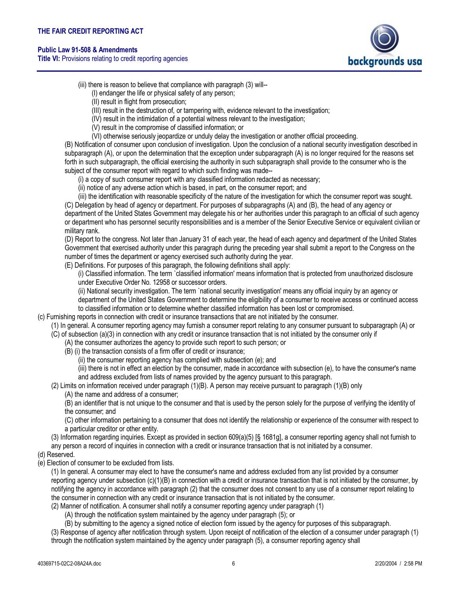**Title VI:** Provisions relating to credit reporting agencies



(iii) there is reason to believe that compliance with paragraph (3) will--

- (I) endanger the life or physical safety of any person;
- (II) result in flight from prosecution;
- (III) result in the destruction of, or tampering with, evidence relevant to the investigation;
- (IV) result in the intimidation of a potential witness relevant to the investigation;
- (V) result in the compromise of classified information; or
- (VI) otherwise seriously jeopardize or unduly delay the investigation or another official proceeding.

(B) Notification of consumer upon conclusion of investigation. Upon the conclusion of a national security investigation described in subparagraph (A), or upon the determination that the exception under subparagraph (A) is no longer required for the reasons set forth in such subparagraph, the official exercising the authority in such subparagraph shall provide to the consumer who is the subject of the consumer report with regard to which such finding was made--

- (i) a copy of such consumer report with any classified information redacted as necessary;
- (ii) notice of any adverse action which is based, in part, on the consumer report; and

(iii) the identification with reasonable specificity of the nature of the investigation for which the consumer report was sought. (C) Delegation by head of agency or department. For purposes of subparagraphs (A) and (B), the head of any agency or department of the United States Government may delegate his or her authorities under this paragraph to an official of such agency or department who has personnel security responsibilities and is a member of the Senior Executive Service or equivalent civilian or military rank.

(D) Report to the congress. Not later than January 31 of each year, the head of each agency and department of the United States Government that exercised authority under this paragraph during the preceding year shall submit a report to the Congress on the number of times the department or agency exercised such authority during the year.

(E) Definitions. For purposes of this paragraph, the following definitions shall apply:

(i) Classified information. The term `classified information' means information that is protected from unauthorized disclosure under Executive Order No. 12958 or successor orders.

(ii) National security investigation. The term `national security investigation' means any official inquiry by an agency or

department of the United States Government to determine the eligibility of a consumer to receive access or continued access to classified information or to determine whether classified information has been lost or compromised.

(c) Furnishing reports in connection with credit or insurance transactions that are not initiated by the consumer.

(1) In general. A consumer reporting agency may furnish a consumer report relating to any consumer pursuant to subparagraph (A) or

(C) of subsection (a)(3) in connection with any credit or insurance transaction that is not initiated by the consumer only if

- (A) the consumer authorizes the agency to provide such report to such person; or
- (B) (i) the transaction consists of a firm offer of credit or insurance;
	- (ii) the consumer reporting agency has complied with subsection (e); and

(iii) there is not in effect an election by the consumer, made in accordance with subsection (e), to have the consumer's name and address excluded from lists of names provided by the agency pursuant to this paragraph.

(2) Limits on information received under paragraph (1)(B). A person may receive pursuant to paragraph (1)(B) only

(A) the name and address of a consumer;

(B) an identifier that is not unique to the consumer and that is used by the person solely for the purpose of verifying the identity of the consumer; and

(C) other information pertaining to a consumer that does not identify the relationship or experience of the consumer with respect to a particular creditor or other entity.

(3) Information regarding inquiries. Except as provided in section 609(a)(5) [ß 1681g], a consumer reporting agency shall not furnish to

any person a record of inquiries in connection with a credit or insurance transaction that is not initiated by a consumer.

(d) Reserved.

(e) Election of consumer to be excluded from lists.

(1) In general. A consumer may elect to have the consumer's name and address excluded from any list provided by a consumer reporting agency under subsection (c)(1)(B) in connection with a credit or insurance transaction that is not initiated by the consumer, by notifying the agency in accordance with paragraph (2) that the consumer does not consent to any use of a consumer report relating to the consumer in connection with any credit or insurance transaction that is not initiated by the consumer. (2) Manner of notification. A consumer shall notify a consumer reporting agency under paragraph (1)

(A) through the notification system maintained by the agency under paragraph (5); or

(B) by submitting to the agency a signed notice of election form issued by the agency for purposes of this subparagraph.

(3) Response of agency after notification through system. Upon receipt of notification of the election of a consumer under paragraph (1) through the notification system maintained by the agency under paragraph (5), a consumer reporting agency shall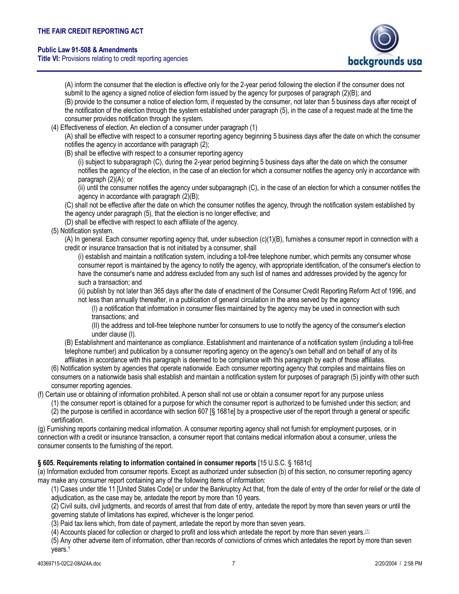**Title VI:** Provisions relating to credit reporting agencies



(A) inform the consumer that the election is effective only for the 2-year period following the election if the consumer does not submit to the agency a signed notice of election form issued by the agency for purposes of paragraph (2)(B); and (B) provide to the consumer a notice of election form, if requested by the consumer, not later than 5 business days after receipt of

the notification of the election through the system established under paragraph (5), in the case of a request made at the time the consumer provides notification through the system.

(4) Effectiveness of election. An election of a consumer under paragraph (1)

(A) shall be effective with respect to a consumer reporting agency beginning 5 business days after the date on which the consumer notifies the agency in accordance with paragraph (2);

(B) shall be effective with respect to a consumer reporting agency

(i) subject to subparagraph (C), during the 2-year period beginning 5 business days after the date on which the consumer notifies the agency of the election, in the case of an election for which a consumer notifies the agency only in accordance with paragraph (2)(A); or

(ii) until the consumer notifies the agency under subparagraph (C), in the case of an election for which a consumer notifies the agency in accordance with paragraph (2)(B);

(C) shall not be effective after the date on which the consumer notifies the agency, through the notification system established by

the agency under paragraph (5), that the election is no longer effective; and

(D) shall be effective with respect to each affiliate of the agency.

(5) Notification system.

(A) In general. Each consumer reporting agency that, under subsection (c)(1)(B), furnishes a consumer report in connection with a credit or insurance transaction that is not initiated by a consumer, shall

(i) establish and maintain a notification system, including a toll-free telephone number, which permits any consumer whose consumer report is maintained by the agency to notify the agency, with appropriate identification, of the consumer's election to have the consumer's name and address excluded from any such list of names and addresses provided by the agency for such a transaction; and

(ii) publish by not later than 365 days after the date of enactment of the Consumer Credit Reporting Reform Act of 1996, and not less than annually thereafter, in a publication of general circulation in the area served by the agency

(I) a notification that information in consumer files maintained by the agency may be used in connection with such transactions; and

(II) the address and toll-free telephone number for consumers to use to notify the agency of the consumer's election under clause (I).

(B) Establishment and maintenance as compliance. Establishment and maintenance of a notification system (including a toll-free telephone number) and publication by a consumer reporting agency on the agency's own behalf and on behalf of any of its affiliates in accordance with this paragraph is deemed to be compliance with this paragraph by each of those affiliates.

(6) Notification system by agencies that operate nationwide. Each consumer reporting agency that compiles and maintains files on consumers on a nationwide basis shall establish and maintain a notification system for purposes of paragraph (5) jointly with other such consumer reporting agencies.

(f) Certain use or obtaining of information prohibited. A person shall not use or obtain a consumer report for any purpose unless

(1) the consumer report is obtained for a purpose for which the consumer report is authorized to be furnished under this section; and (2) the purpose is certified in accordance with section 607 [ß 1681e] by a prospective user of the report through a general or specific certification.

(g) Furnishing reports containing medical information. A consumer reporting agency shall not furnish for employment purposes, or in connection with a credit or insurance transaction, a consumer report that contains medical information about a consumer, unless the consumer consents to the furnishing of the report.

# **ß 605. Requirements relating to information contained in consumer reports** [15 U.S.C. ß 1681c]

(a) Information excluded from consumer reports. Except as authorized under subsection (b) of this section, no consumer reporting agency may make any consumer report containing any of the following items of information:

(1) Cases under title 11 [United States Code] or under the Bankruptcy Act that, from the date of entry of the order for relief or the date of adjudication, as the case may be, antedate the report by more than 10 years.

(2) Civil suits, civil judgments, and records of arrest that from date of entry, antedate the report by more than seven years or until the governing statute of limitations has expired, whichever is the longer period.

(3) Paid tax liens which, from date of payment, antedate the report by more than seven years.

(4) Accounts placed for collection or charged to profit and loss which antedate the report by more than seven years.(1)

(5) Any other adverse item of information, other than records of convictions of crimes which antedates the report by more than seven years.1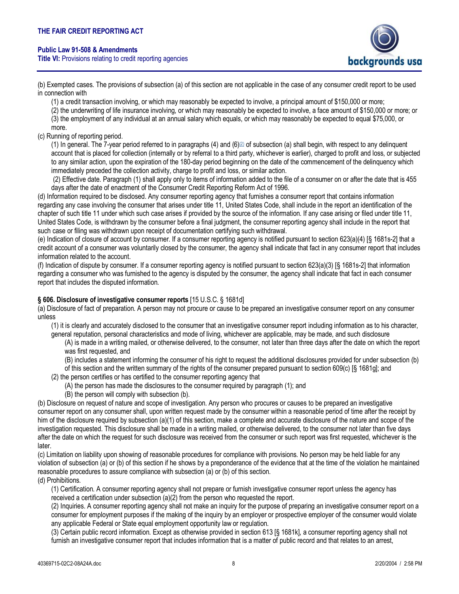

(b) Exempted cases. The provisions of subsection (a) of this section are not applicable in the case of any consumer credit report to be used in connection with

(1) a credit transaction involving, or which may reasonably be expected to involve, a principal amount of \$150,000 or more;

(2) the underwriting of life insurance involving, or which may reasonably be expected to involve, a face amount of \$150,000 or more; or

(3) the employment of any individual at an annual salary which equals, or which may reasonably be expected to equal \$75,000, or

more.

(c) Running of reporting period.

(1) In general. The 7-year period referred to in paragraphs (4) and  $(6)$ <sup>(2)</sup> of subsection (a) shall begin, with respect to any delinquent account that is placed for collection (internally or by referral to a third party, whichever is earlier), charged to profit and loss, or subjected to any similar action, upon the expiration of the 180-day period beginning on the date of the commencement of the delinquency which immediately preceded the collection activity, charge to profit and loss, or similar action.

 (2) Effective date. Paragraph (1) shall apply only to items of information added to the file of a consumer on or after the date that is 455 days after the date of enactment of the Consumer Credit Reporting Reform Act of 1996.

(d) Information required to be disclosed. Any consumer reporting agency that furnishes a consumer report that contains information regarding any case involving the consumer that arises under title 11, United States Code, shall include in the report an identification of the chapter of such title 11 under which such case arises if provided by the source of the information. If any case arising or filed under title 11, United States Code, is withdrawn by the consumer before a final judgment, the consumer reporting agency shall include in the report that such case or filing was withdrawn upon receipt of documentation certifying such withdrawal.

(e) Indication of closure of account by consumer. If a consumer reporting agency is notified pursuant to section 623(a)(4) [ß 1681s-2] that a credit account of a consumer was voluntarily closed by the consumer, the agency shall indicate that fact in any consumer report that includes information related to the account.

(f) Indication of dispute by consumer. If a consumer reporting agency is notified pursuant to section 623(a)(3) [ß 1681s-2] that information regarding a consumer who was furnished to the agency is disputed by the consumer, the agency shall indicate that fact in each consumer report that includes the disputed information.

#### **ß 606. Disclosure of investigative consumer reports** [15 U.S.C. ß 1681d]

(a) Disclosure of fact of preparation. A person may not procure or cause to be prepared an investigative consumer report on any consumer unless

(1) it is clearly and accurately disclosed to the consumer that an investigative consumer report including information as to his character, general reputation, personal characteristics and mode of living, whichever are applicable, may be made, and such disclosure

(A) is made in a writing mailed, or otherwise delivered, to the consumer, not later than three days after the date on which the report was first requested, and

(B) includes a statement informing the consumer of his right to request the additional disclosures provided for under subsection (b)

of this section and the written summary of the rights of the consumer prepared pursuant to section 609(c) [ß 1681g]; and

(2) the person certifies or has certified to the consumer reporting agency that

- (A) the person has made the disclosures to the consumer required by paragraph (1); and
- (B) the person will comply with subsection (b).

(b) Disclosure on request of nature and scope of investigation. Any person who procures or causes to be prepared an investigative consumer report on any consumer shall, upon written request made by the consumer within a reasonable period of time after the receipt by him of the disclosure required by subsection (a)(1) of this section, make a complete and accurate disclosure of the nature and scope of the investigation requested. This disclosure shall be made in a writing mailed, or otherwise delivered, to the consumer not later than five days after the date on which the request for such disclosure was received from the consumer or such report was first requested, whichever is the later.

(c) Limitation on liability upon showing of reasonable procedures for compliance with provisions. No person may be held liable for any violation of subsection (a) or (b) of this section if he shows by a preponderance of the evidence that at the time of the violation he maintained reasonable procedures to assure compliance with subsection (a) or (b) of this section.

(d) Prohibitions.

(1) Certification. A consumer reporting agency shall not prepare or furnish investigative consumer report unless the agency has received a certification under subsection (a)(2) from the person who requested the report.

(2) Inquiries. A consumer reporting agency shall not make an inquiry for the purpose of preparing an investigative consumer report on a consumer for employment purposes if the making of the inquiry by an employer or prospective employer of the consumer would violate any applicable Federal or State equal employment opportunity law or regulation.

(3) Certain public record information. Except as otherwise provided in section 613 [ß 1681k], a consumer reporting agency shall not furnish an investigative consumer report that includes information that is a matter of public record and that relates to an arrest,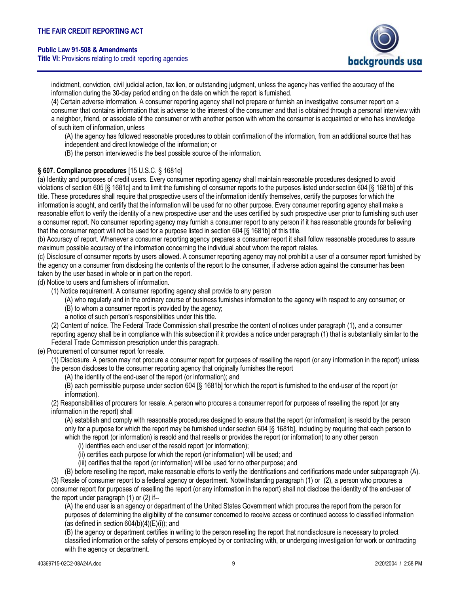**Title VI:** Provisions relating to credit reporting agencies



indictment, conviction, civil judicial action, tax lien, or outstanding judgment, unless the agency has verified the accuracy of the information during the 30-day period ending on the date on which the report is furnished.

(4) Certain adverse information. A consumer reporting agency shall not prepare or furnish an investigative consumer report on a consumer that contains information that is adverse to the interest of the consumer and that is obtained through a personal interview with a neighbor, friend, or associate of the consumer or with another person with whom the consumer is acquainted or who has knowledge of such item of information, unless

(A) the agency has followed reasonable procedures to obtain confirmation of the information, from an additional source that has independent and direct knowledge of the information; or

(B) the person interviewed is the best possible source of the information.

#### **ß 607. Compliance procedures** [15 U.S.C. ß 1681e]

(a) Identity and purposes of credit users. Every consumer reporting agency shall maintain reasonable procedures designed to avoid violations of section 605 [ß 1681c] and to limit the furnishing of consumer reports to the purposes listed under section 604 [ß 1681b] of this title. These procedures shall require that prospective users of the information identify themselves, certify the purposes for which the information is sought, and certify that the information will be used for no other purpose. Every consumer reporting agency shall make a reasonable effort to verify the identity of a new prospective user and the uses certified by such prospective user prior to furnishing such user a consumer report. No consumer reporting agency may furnish a consumer report to any person if it has reasonable grounds for believing that the consumer report will not be used for a purpose listed in section 604 [ß 1681b] of this title.

(b) Accuracy of report. Whenever a consumer reporting agency prepares a consumer report it shall follow reasonable procedures to assure maximum possible accuracy of the information concerning the individual about whom the report relates.

(c) Disclosure of consumer reports by users allowed. A consumer reporting agency may not prohibit a user of a consumer report furnished by the agency on a consumer from disclosing the contents of the report to the consumer, if adverse action against the consumer has been taken by the user based in whole or in part on the report.

(d) Notice to users and furnishers of information.

(1) Notice requirement. A consumer reporting agency shall provide to any person

(A) who regularly and in the ordinary course of business furnishes information to the agency with respect to any consumer; or (B) to whom a consumer report is provided by the agency;

a notice of such person's responsibilities under this title.

(2) Content of notice. The Federal Trade Commission shall prescribe the content of notices under paragraph (1), and a consumer reporting agency shall be in compliance with this subsection if it provides a notice under paragraph (1) that is substantially similar to the Federal Trade Commission prescription under this paragraph.

(e) Procurement of consumer report for resale.

(1) Disclosure. A person may not procure a consumer report for purposes of reselling the report (or any information in the report) unless the person discloses to the consumer reporting agency that originally furnishes the report

(A) the identity of the end-user of the report (or information); and

(B) each permissible purpose under section 604 [ß 1681b] for which the report is furnished to the end-user of the report (or information).

(2) Responsibilities of procurers for resale. A person who procures a consumer report for purposes of reselling the report (or any information in the report) shall

(A) establish and comply with reasonable procedures designed to ensure that the report (or information) is resold by the person only for a purpose for which the report may be furnished under section 604 [ß 1681b], including by requiring that each person to which the report (or information) is resold and that resells or provides the report (or information) to any other person

(i) identifies each end user of the resold report (or information);

(ii) certifies each purpose for which the report (or information) will be used; and

(iii) certifies that the report (or information) will be used for no other purpose; and

(B) before reselling the report, make reasonable efforts to verify the identifications and certifications made under subparagraph (A). (3) Resale of consumer report to a federal agency or department. Notwithstanding paragraph (1) or (2), a person who procures a consumer report for purposes of reselling the report (or any information in the report) shall not disclose the identity of the end-user of the report under paragraph (1) or (2) if--

(A) the end user is an agency or department of the United States Government which procures the report from the person for purposes of determining the eligibility of the consumer concerned to receive access or continued access to classified information (as defined in section  $604(b)(4)(E)(i)$ ); and

(B) the agency or department certifies in writing to the person reselling the report that nondisclosure is necessary to protect classified information or the safety of persons employed by or contracting with, or undergoing investigation for work or contracting with the agency or department.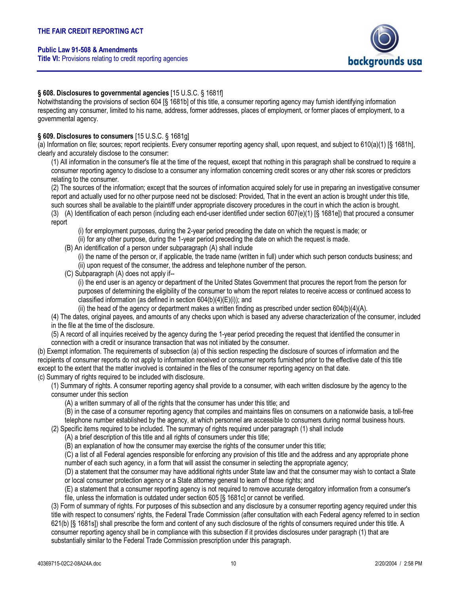

# **ß 608. Disclosures to governmental agencies** [15 U.S.C. ß 1681f]

Notwithstanding the provisions of section 604 [ß 1681b] of this title, a consumer reporting agency may furnish identifying information respecting any consumer, limited to his name, address, former addresses, places of employment, or former places of employment, to a governmental agency.

#### **ß 609. Disclosures to consumers** [15 U.S.C. ß 1681g]

(a) Information on file; sources; report recipients. Every consumer reporting agency shall, upon request, and subject to 610(a)(1) [ß 1681h], clearly and accurately disclose to the consumer:

(1) All information in the consumer's file at the time of the request, except that nothing in this paragraph shall be construed to require a consumer reporting agency to disclose to a consumer any information concerning credit scores or any other risk scores or predictors relating to the consumer.

(2) The sources of the information; except that the sources of information acquired solely for use in preparing an investigative consumer report and actually used for no other purpose need not be disclosed: Provided, That in the event an action is brought under this title, such sources shall be available to the plaintiff under appropriate discovery procedures in the court in which the action is brought.

(3) (A) Identification of each person (including each end-user identified under section 607(e)(1) [ß 1681e]) that procured a consumer report

(i) for employment purposes, during the 2-year period preceding the date on which the request is made; or

(ii) for any other purpose, during the 1-year period preceding the date on which the request is made.

(B) An identification of a person under subparagraph (A) shall include

(i) the name of the person or, if applicable, the trade name (written in full) under which such person conducts business; and (ii) upon request of the consumer, the address and telephone number of the person.

(C) Subparagraph (A) does not apply if--

(i) the end user is an agency or department of the United States Government that procures the report from the person for purposes of determining the eligibility of the consumer to whom the report relates to receive access or continued access to classified information (as defined in section 604(b)(4)(E)(i)); and

(ii) the head of the agency or department makes a written finding as prescribed under section 604(b)(4)(A).

(4) The dates, original payees, and amounts of any checks upon which is based any adverse characterization of the consumer, included in the file at the time of the disclosure.

(5) A record of all inquiries received by the agency during the 1-year period preceding the request that identified the consumer in connection with a credit or insurance transaction that was not initiated by the consumer.

(b) Exempt information. The requirements of subsection (a) of this section respecting the disclosure of sources of information and the recipients of consumer reports do not apply to information received or consumer reports furnished prior to the effective date of this title except to the extent that the matter involved is contained in the files of the consumer reporting agency on that date. (c) Summary of rights required to be included with disclosure.

(1) Summary of rights. A consumer reporting agency shall provide to a consumer, with each written disclosure by the agency to the consumer under this section

(A) a written summary of all of the rights that the consumer has under this title; and

(B) in the case of a consumer reporting agency that compiles and maintains files on consumers on a nationwide basis, a toll-free telephone number established by the agency, at which personnel are accessible to consumers during normal business hours.

(2) Specific items required to be included. The summary of rights required under paragraph (1) shall include

(A) a brief description of this title and all rights of consumers under this title;

(B) an explanation of how the consumer may exercise the rights of the consumer under this title;

(C) a list of all Federal agencies responsible for enforcing any provision of this title and the address and any appropriate phone number of each such agency, in a form that will assist the consumer in selecting the appropriate agency;

(D) a statement that the consumer may have additional rights under State law and that the consumer may wish to contact a State or local consumer protection agency or a State attorney general to learn of those rights; and

(E) a statement that a consumer reporting agency is not required to remove accurate derogatory information from a consumer's file, unless the information is outdated under section 605 [ß 1681c] or cannot be verified.

(3) Form of summary of rights. For purposes of this subsection and any disclosure by a consumer reporting agency required under this title with respect to consumers' rights, the Federal Trade Commission (after consultation with each Federal agency referred to in section 621(b) [ß 1681s]) shall prescribe the form and content of any such disclosure of the rights of consumers required under this title. A consumer reporting agency shall be in compliance with this subsection if it provides disclosures under paragraph (1) that are substantially similar to the Federal Trade Commission prescription under this paragraph.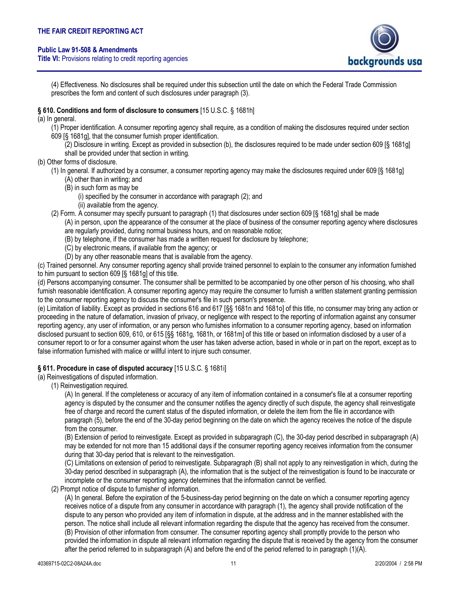backarounds usa

(4) Effectiveness. No disclosures shall be required under this subsection until the date on which the Federal Trade Commission prescribes the form and content of such disclosures under paragraph (3).

#### **ß 610. Conditions and form of disclosure to consumers** [15 U.S.C. ß 1681h]

(a) In general.

(1) Proper identification. A consumer reporting agency shall require, as a condition of making the disclosures required under section 609 [ß 1681g], that the consumer furnish proper identification.

(2) Disclosure in writing. Except as provided in subsection (b), the disclosures required to be made under section 609 [ß 1681g] shall be provided under that section in writing.

- (b) Other forms of disclosure.
	- (1) In general. If authorized by a consumer, a consumer reporting agency may make the disclosures required under 609 [ß 1681g]
		- (A) other than in writing; and (B) in such form as may be
			- (i) specified by the consumer in accordance with paragraph (2); and
			- (ii) available from the agency.
	- (2) Form. A consumer may specify pursuant to paragraph (1) that disclosures under section 609 [ß 1681g] shall be made

(A) in person, upon the appearance of the consumer at the place of business of the consumer reporting agency where disclosures are regularly provided, during normal business hours, and on reasonable notice;

- (B) by telephone, if the consumer has made a written request for disclosure by telephone;
- (C) by electronic means, if available from the agency; or
- (D) by any other reasonable means that is available from the agency.

(c) Trained personnel. Any consumer reporting agency shall provide trained personnel to explain to the consumer any information furnished to him pursuant to section 609 [ß 1681g] of this title.

(d) Persons accompanying consumer. The consumer shall be permitted to be accompanied by one other person of his choosing, who shall furnish reasonable identification. A consumer reporting agency may require the consumer to furnish a written statement granting permission to the consumer reporting agency to discuss the consumer's file in such person's presence.

(e) Limitation of liability. Except as provided in sections 616 and 617 [ßß 1681n and 1681o] of this title, no consumer may bring any action or proceeding in the nature of defamation, invasion of privacy, or negligence with respect to the reporting of information against any consumer reporting agency, any user of information, or any person who furnishes information to a consumer reporting agency, based on information disclosed pursuant to section 609, 610, or 615 [ßß 1681g, 1681h, or 1681m] of this title or based on information disclosed by a user of a consumer report to or for a consumer against whom the user has taken adverse action, based in whole or in part on the report, except as to false information furnished with malice or willful intent to injure such consumer.

#### **ß 611. Procedure in case of disputed accuracy** [15 U.S.C. ß 1681i]

(a) Reinvestigations of disputed information.

(1) Reinvestigation required.

(A) In general. If the completeness or accuracy of any item of information contained in a consumer's file at a consumer reporting agency is disputed by the consumer and the consumer notifies the agency directly of such dispute, the agency shall reinvestigate free of charge and record the current status of the disputed information, or delete the item from the file in accordance with paragraph (5), before the end of the 30-day period beginning on the date on which the agency receives the notice of the dispute from the consumer.

(B) Extension of period to reinvestigate. Except as provided in subparagraph (C), the 30-day period described in subparagraph (A) may be extended for not more than 15 additional days if the consumer reporting agency receives information from the consumer during that 30-day period that is relevant to the reinvestigation.

(C) Limitations on extension of period to reinvestigate. Subparagraph (B) shall not apply to any reinvestigation in which, during the 30-day period described in subparagraph (A), the information that is the subject of the reinvestigation is found to be inaccurate or incomplete or the consumer reporting agency determines that the information cannot be verified.

(2) Prompt notice of dispute to furnisher of information.

(A) In general. Before the expiration of the 5-business-day period beginning on the date on which a consumer reporting agency receives notice of a dispute from any consumer in accordance with paragraph (1), the agency shall provide notification of the dispute to any person who provided any item of information in dispute, at the address and in the manner established with the person. The notice shall include all relevant information regarding the dispute that the agency has received from the consumer. (B) Provision of other information from consumer. The consumer reporting agency shall promptly provide to the person who provided the information in dispute all relevant information regarding the dispute that is received by the agency from the consumer after the period referred to in subparagraph (A) and before the end of the period referred to in paragraph (1)(A).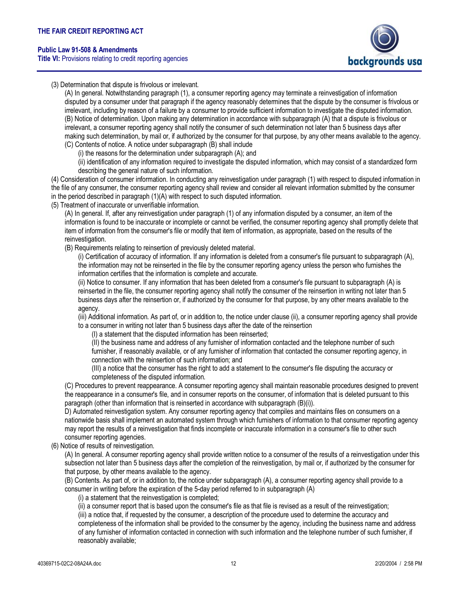**Title VI:** Provisions relating to credit reporting agencies



(3) Determination that dispute is frivolous or irrelevant.

(A) In general. Notwithstanding paragraph (1), a consumer reporting agency may terminate a reinvestigation of information disputed by a consumer under that paragraph if the agency reasonably determines that the dispute by the consumer is frivolous or irrelevant, including by reason of a failure by a consumer to provide sufficient information to investigate the disputed information. (B) Notice of determination. Upon making any determination in accordance with subparagraph (A) that a dispute is frivolous or irrelevant, a consumer reporting agency shall notify the consumer of such determination not later than 5 business days after making such determination, by mail or, if authorized by the consumer for that purpose, by any other means available to the agency. (C) Contents of notice. A notice under subparagraph (B) shall include

(i) the reasons for the determination under subparagraph (A); and

(ii) identification of any information required to investigate the disputed information, which may consist of a standardized form describing the general nature of such information.

(4) Consideration of consumer information. In conducting any reinvestigation under paragraph (1) with respect to disputed information in the file of any consumer, the consumer reporting agency shall review and consider all relevant information submitted by the consumer in the period described in paragraph (1)(A) with respect to such disputed information.

(5) Treatment of inaccurate or unverifiable information.

(A) In general. If, after any reinvestigation under paragraph (1) of any information disputed by a consumer, an item of the information is found to be inaccurate or incomplete or cannot be verified, the consumer reporting agency shall promptly delete that item of information from the consumer's file or modify that item of information, as appropriate, based on the results of the reinvestigation.

(B) Requirements relating to reinsertion of previously deleted material.

(i) Certification of accuracy of information. If any information is deleted from a consumer's file pursuant to subparagraph (A), the information may not be reinserted in the file by the consumer reporting agency unless the person who furnishes the information certifies that the information is complete and accurate.

(ii) Notice to consumer. If any information that has been deleted from a consumer's file pursuant to subparagraph (A) is reinserted in the file, the consumer reporting agency shall notify the consumer of the reinsertion in writing not later than 5 business days after the reinsertion or, if authorized by the consumer for that purpose, by any other means available to the agency.

(iii) Additional information. As part of, or in addition to, the notice under clause (ii), a consumer reporting agency shall provide to a consumer in writing not later than 5 business days after the date of the reinsertion

(I) a statement that the disputed information has been reinserted;

(II) the business name and address of any furnisher of information contacted and the telephone number of such furnisher, if reasonably available, or of any furnisher of information that contacted the consumer reporting agency, in connection with the reinsertion of such information; and

(III) a notice that the consumer has the right to add a statement to the consumer's file disputing the accuracy or completeness of the disputed information.

(C) Procedures to prevent reappearance. A consumer reporting agency shall maintain reasonable procedures designed to prevent the reappearance in a consumer's file, and in consumer reports on the consumer, of information that is deleted pursuant to this paragraph (other than information that is reinserted in accordance with subparagraph (B)(i)).

D) Automated reinvestigation system. Any consumer reporting agency that compiles and maintains files on consumers on a nationwide basis shall implement an automated system through which furnishers of information to that consumer reporting agency may report the results of a reinvestigation that finds incomplete or inaccurate information in a consumer's file to other such consumer reporting agencies.

(6) Notice of results of reinvestigation.

(A) In general. A consumer reporting agency shall provide written notice to a consumer of the results of a reinvestigation under this subsection not later than 5 business days after the completion of the reinvestigation, by mail or, if authorized by the consumer for that purpose, by other means available to the agency.

(B) Contents. As part of, or in addition to, the notice under subparagraph (A), a consumer reporting agency shall provide to a consumer in writing before the expiration of the 5-day period referred to in subparagraph (A)

(i) a statement that the reinvestigation is completed;

(ii) a consumer report that is based upon the consumer's file as that file is revised as a result of the reinvestigation; (iii) a notice that, if requested by the consumer, a description of the procedure used to determine the accuracy and completeness of the information shall be provided to the consumer by the agency, including the business name and address of any furnisher of information contacted in connection with such information and the telephone number of such furnisher, if reasonably available;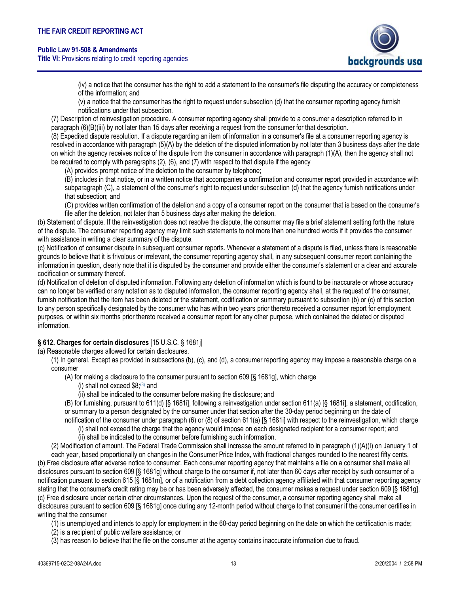

(iv) a notice that the consumer has the right to add a statement to the consumer's file disputing the accuracy or completeness of the information; and

(v) a notice that the consumer has the right to request under subsection (d) that the consumer reporting agency furnish notifications under that subsection.

(7) Description of reinvestigation procedure. A consumer reporting agency shall provide to a consumer a description referred to in paragraph (6)(B)(iii) by not later than 15 days after receiving a request from the consumer for that description.

(8) Expedited dispute resolution. If a dispute regarding an item of information in a consumer's file at a consumer reporting agency is resolved in accordance with paragraph (5)(A) by the deletion of the disputed information by not later than 3 business days after the date on which the agency receives notice of the dispute from the consumer in accordance with paragraph (1)(A), then the agency shall not be required to comply with paragraphs (2), (6), and (7) with respect to that dispute if the agency

(A) provides prompt notice of the deletion to the consumer by telephone;

(B) includes in that notice, or in a written notice that accompanies a confirmation and consumer report provided in accordance with subparagraph (C), a statement of the consumer's right to request under subsection (d) that the agency furnish notifications under that subsection; and

(C) provides written confirmation of the deletion and a copy of a consumer report on the consumer that is based on the consumer's file after the deletion, not later than 5 business days after making the deletion.

(b) Statement of dispute. If the reinvestigation does not resolve the dispute, the consumer may file a brief statement setting forth the nature of the dispute. The consumer reporting agency may limit such statements to not more than one hundred words if it provides the consumer with assistance in writing a clear summary of the dispute.

(c) Notification of consumer dispute in subsequent consumer reports. Whenever a statement of a dispute is filed, unless there is reasonable grounds to believe that it is frivolous or irrelevant, the consumer reporting agency shall, in any subsequent consumer report containing the information in question, clearly note that it is disputed by the consumer and provide either the consumer's statement or a clear and accurate codification or summary thereof.

(d) Notification of deletion of disputed information. Following any deletion of information which is found to be inaccurate or whose accuracy can no longer be verified or any notation as to disputed information, the consumer reporting agency shall, at the request of the consumer, furnish notification that the item has been deleted or the statement, codification or summary pursuant to subsection (b) or (c) of this section to any person specifically designated by the consumer who has within two years prior thereto received a consumer report for employment purposes, or within six months prior thereto received a consumer report for any other purpose, which contained the deleted or disputed information.

#### **ß 612. Charges for certain disclosures** [15 U.S.C. ß 1681j]

(a) Reasonable charges allowed for certain disclosures.

(1) In general. Except as provided in subsections (b), (c), and (d), a consumer reporting agency may impose a reasonable charge on a consumer

(A) for making a disclosure to the consumer pursuant to section 609 [ß 1681g], which charge

(i) shall not exceed  $$8:3$  and

(ii) shall be indicated to the consumer before making the disclosure; and

(B) for furnishing, pursuant to 611(d) [ß 1681i], following a reinvestigation under section 611(a) [ß 1681i], a statement, codification, or summary to a person designated by the consumer under that section after the 30-day period beginning on the date of notification of the consumer under paragraph (6) or (8) of section 611(a) [ß 1681i] with respect to the reinvestigation, which charge

(i) shall not exceed the charge that the agency would impose on each designated recipient for a consumer report; and

(ii) shall be indicated to the consumer before furnishing such information.

(2) Modification of amount. The Federal Trade Commission shall increase the amount referred to in paragraph (1)(A)(I) on January 1 of each year, based proportionally on changes in the Consumer Price Index, with fractional changes rounded to the nearest fifty cents. (b) Free disclosure after adverse notice to consumer. Each consumer reporting agency that maintains a file on a consumer shall make all disclosures pursuant to section 609 [ß 1681g] without charge to the consumer if, not later than 60 days after receipt by such consumer of a notification pursuant to section 615 [ß 1681m], or of a notification from a debt collection agency affiliated with that consumer reporting agency stating that the consumer's credit rating may be or has been adversely affected, the consumer makes a request under section 609 [ß 1681g]. (c) Free disclosure under certain other circumstances. Upon the request of the consumer, a consumer reporting agency shall make all disclosures pursuant to section 609 [ß 1681g] once during any 12-month period without charge to that consumer if the consumer certifies in writing that the consumer

(1) is unemployed and intends to apply for employment in the 60-day period beginning on the date on which the certification is made;

(2) is a recipient of public welfare assistance; or

(3) has reason to believe that the file on the consumer at the agency contains inaccurate information due to fraud.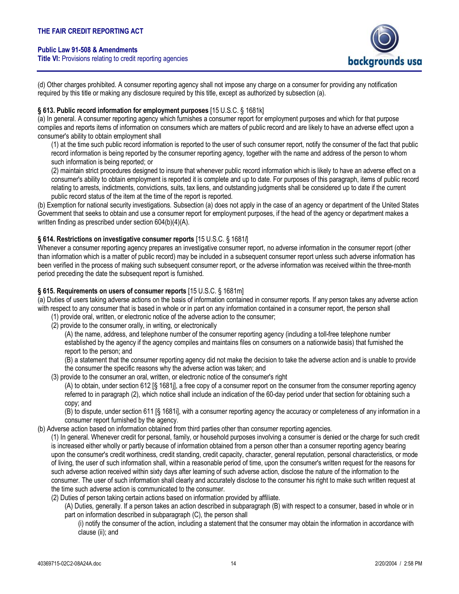

(d) Other charges prohibited. A consumer reporting agency shall not impose any charge on a consumer for providing any notification required by this title or making any disclosure required by this title, except as authorized by subsection (a).

#### **ß 613. Public record information for employment purposes** [15 U.S.C. ß 1681k]

(a) In general. A consumer reporting agency which furnishes a consumer report for employment purposes and which for that purpose compiles and reports items of information on consumers which are matters of public record and are likely to have an adverse effect upon a consumer's ability to obtain employment shall

(1) at the time such public record information is reported to the user of such consumer report, notify the consumer of the fact that public record information is being reported by the consumer reporting agency, together with the name and address of the person to whom such information is being reported; or

(2) maintain strict procedures designed to insure that whenever public record information which is likely to have an adverse effect on a consumer's ability to obtain employment is reported it is complete and up to date. For purposes of this paragraph, items of public record relating to arrests, indictments, convictions, suits, tax liens, and outstanding judgments shall be considered up to date if the current public record status of the item at the time of the report is reported.

(b) Exemption for national security investigations. Subsection (a) does not apply in the case of an agency or department of the United States Government that seeks to obtain and use a consumer report for employment purposes, if the head of the agency or department makes a written finding as prescribed under section 604(b)(4)(A).

#### **ß 614. Restrictions on investigative consumer reports** [15 U.S.C. ß 1681*l*]

Whenever a consumer reporting agency prepares an investigative consumer report, no adverse information in the consumer report (other than information which is a matter of public record) may be included in a subsequent consumer report unless such adverse information has been verified in the process of making such subsequent consumer report, or the adverse information was received within the three-month period preceding the date the subsequent report is furnished.

## **ß 615. Requirements on users of consumer reports** [15 U.S.C. ß 1681m]

(a) Duties of users taking adverse actions on the basis of information contained in consumer reports. If any person takes any adverse action with respect to any consumer that is based in whole or in part on any information contained in a consumer report, the person shall

(1) provide oral, written, or electronic notice of the adverse action to the consumer;

(2) provide to the consumer orally, in writing, or electronically

(A) the name, address, and telephone number of the consumer reporting agency (including a toll-free telephone number established by the agency if the agency compiles and maintains files on consumers on a nationwide basis) that furnished the report to the person; and

(B) a statement that the consumer reporting agency did not make the decision to take the adverse action and is unable to provide the consumer the specific reasons why the adverse action was taken; and

(3) provide to the consumer an oral, written, or electronic notice of the consumer's right

(A) to obtain, under section 612 [ß 1681j], a free copy of a consumer report on the consumer from the consumer reporting agency referred to in paragraph (2), which notice shall include an indication of the 60-day period under that section for obtaining such a copy; and

(B) to dispute, under section 611 [ß 1681i], with a consumer reporting agency the accuracy or completeness of any information in a consumer report furnished by the agency.

(b) Adverse action based on information obtained from third parties other than consumer reporting agencies.

(1) In general. Whenever credit for personal, family, or household purposes involving a consumer is denied or the charge for such credit is increased either wholly or partly because of information obtained from a person other than a consumer reporting agency bearing upon the consumer's credit worthiness, credit standing, credit capacity, character, general reputation, personal characteristics, or mode of living, the user of such information shall, within a reasonable period of time, upon the consumer's written request for the reasons for such adverse action received within sixty days after learning of such adverse action, disclose the nature of the information to the consumer. The user of such information shall clearly and accurately disclose to the consumer his right to make such written request at the time such adverse action is communicated to the consumer.

(2) Duties of person taking certain actions based on information provided by affiliate.

(A) Duties, generally. If a person takes an action described in subparagraph (B) with respect to a consumer, based in whole or in part on information described in subparagraph (C), the person shall

(i) notify the consumer of the action, including a statement that the consumer may obtain the information in accordance with clause (ii); and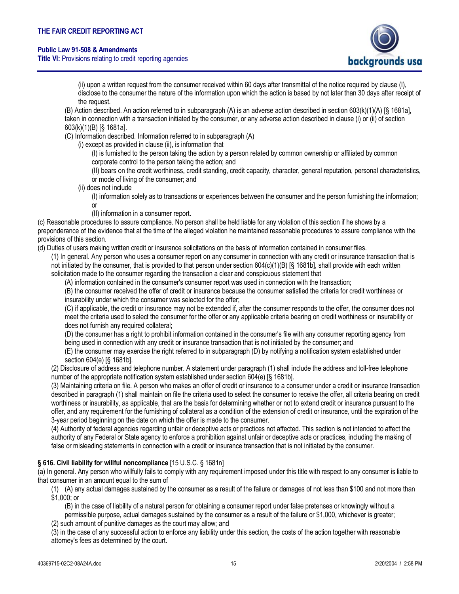**Title VI:** Provisions relating to credit reporting agencies



(ii) upon a written request from the consumer received within 60 days after transmittal of the notice required by clause (I), disclose to the consumer the nature of the information upon which the action is based by not later than 30 days after receipt of the request.

(B) Action described. An action referred to in subparagraph (A) is an adverse action described in section 603(k)(1)(A) [ß 1681a], taken in connection with a transaction initiated by the consumer, or any adverse action described in clause (i) or (ii) of section 603(k)(1)(B) [ß 1681a].

(C) Information described. Information referred to in subparagraph (A)

(i) except as provided in clause (ii), is information that

(I) is furnished to the person taking the action by a person related by common ownership or affiliated by common corporate control to the person taking the action; and

(II) bears on the credit worthiness, credit standing, credit capacity, character, general reputation, personal characteristics, or mode of living of the consumer; and

(ii) does not include

(I) information solely as to transactions or experiences between the consumer and the person furnishing the information; or

(II) information in a consumer report.

(c) Reasonable procedures to assure compliance. No person shall be held liable for any violation of this section if he shows by a preponderance of the evidence that at the time of the alleged violation he maintained reasonable procedures to assure compliance with the provisions of this section.

(d) Duties of users making written credit or insurance solicitations on the basis of information contained in consumer files.

(1) In general. Any person who uses a consumer report on any consumer in connection with any credit or insurance transaction that is not initiated by the consumer, that is provided to that person under section 604(c)(1)(B) [§ 1681b], shall provide with each written solicitation made to the consumer regarding the transaction a clear and conspicuous statement that

(A) information contained in the consumer's consumer report was used in connection with the transaction;

(B) the consumer received the offer of credit or insurance because the consumer satisfied the criteria for credit worthiness or insurability under which the consumer was selected for the offer;

(C) if applicable, the credit or insurance may not be extended if, after the consumer responds to the offer, the consumer does not meet the criteria used to select the consumer for the offer or any applicable criteria bearing on credit worthiness or insurability or does not furnish any required collateral;

(D) the consumer has a right to prohibit information contained in the consumer's file with any consumer reporting agency from being used in connection with any credit or insurance transaction that is not initiated by the consumer; and

(E) the consumer may exercise the right referred to in subparagraph (D) by notifying a notification system established under section 604(e) [ß 1681b].

(2) Disclosure of address and telephone number. A statement under paragraph (1) shall include the address and toll-free telephone number of the appropriate notification system established under section 604(e) [ß 1681b].

(3) Maintaining criteria on file. A person who makes an offer of credit or insurance to a consumer under a credit or insurance transaction described in paragraph (1) shall maintain on file the criteria used to select the consumer to receive the offer, all criteria bearing on credit worthiness or insurability, as applicable, that are the basis for determining whether or not to extend credit or insurance pursuant to the offer, and any requirement for the furnishing of collateral as a condition of the extension of credit or insurance, until the expiration of the 3-year period beginning on the date on which the offer is made to the consumer.

(4) Authority of federal agencies regarding unfair or deceptive acts or practices not affected. This section is not intended to affect the authority of any Federal or State agency to enforce a prohibition against unfair or deceptive acts or practices, including the making of false or misleading statements in connection with a credit or insurance transaction that is not initiated by the consumer.

#### **ß 616. Civil liability for willful noncompliance** [15 U.S.C. ß 1681n]

(a) In general. Any person who willfully fails to comply with any requirement imposed under this title with respect to any consumer is liable to that consumer in an amount equal to the sum of

(1) (A) any actual damages sustained by the consumer as a result of the failure or damages of not less than \$100 and not more than \$1,000; or

(B) in the case of liability of a natural person for obtaining a consumer report under false pretenses or knowingly without a permissible purpose, actual damages sustained by the consumer as a result of the failure or \$1,000, whichever is greater;

(2) such amount of punitive damages as the court may allow; and

(3) in the case of any successful action to enforce any liability under this section, the costs of the action together with reasonable attorney's fees as determined by the court.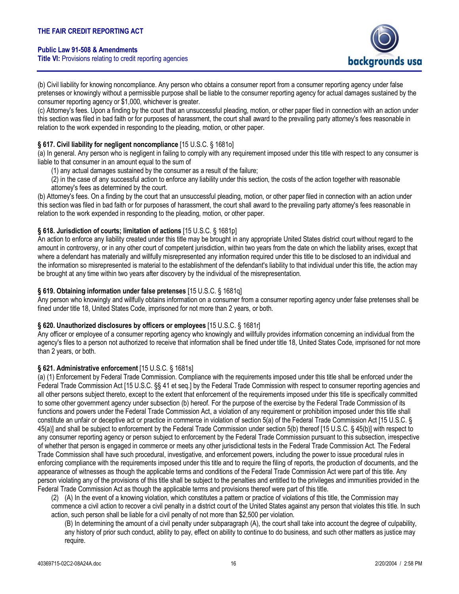backgrounds usa

**Title VI:** Provisions relating to credit reporting agencies

(b) Civil liability for knowing noncompliance. Any person who obtains a consumer report from a consumer reporting agency under false pretenses or knowingly without a permissible purpose shall be liable to the consumer reporting agency for actual damages sustained by the consumer reporting agency or \$1,000, whichever is greater.

(c) Attorney's fees. Upon a finding by the court that an unsuccessful pleading, motion, or other paper filed in connection with an action under this section was filed in bad faith or for purposes of harassment, the court shall award to the prevailing party attorney's fees reasonable in relation to the work expended in responding to the pleading, motion, or other paper.

# **ß 617. Civil liability for negligent noncompliance** [15 U.S.C. ß 1681o]

(a) In general. Any person who is negligent in failing to comply with any requirement imposed under this title with respect to any consumer is liable to that consumer in an amount equal to the sum of

- (1) any actual damages sustained by the consumer as a result of the failure;
- (2) in the case of any successful action to enforce any liability under this section, the costs of the action together with reasonable attorney's fees as determined by the court.

(b) Attorney's fees. On a finding by the court that an unsuccessful pleading, motion, or other paper filed in connection with an action under this section was filed in bad faith or for purposes of harassment, the court shall award to the prevailing party attorney's fees reasonable in relation to the work expended in responding to the pleading, motion, or other paper.

# **ß 618. Jurisdiction of courts; limitation of actions** [15 U.S.C. ß 1681p]

An action to enforce any liability created under this title may be brought in any appropriate United States district court without regard to the amount in controversy, or in any other court of competent jurisdiction, within two years from the date on which the liability arises, except that where a defendant has materially and willfully misrepresented any information required under this title to be disclosed to an individual and the information so misrepresented is material to the establishment of the defendant's liability to that individual under this title, the action may be brought at any time within two years after discovery by the individual of the misrepresentation.

# **ß 619. Obtaining information under false pretenses** [15 U.S.C. ß 1681q]

Any person who knowingly and willfully obtains information on a consumer from a consumer reporting agency under false pretenses shall be fined under title 18, United States Code, imprisoned for not more than 2 years, or both.

# **ß 620. Unauthorized disclosures by officers or employees** [15 U.S.C. ß 1681r]

Any officer or employee of a consumer reporting agency who knowingly and willfully provides information concerning an individual from the agency's files to a person not authorized to receive that information shall be fined under title 18, United States Code, imprisoned for not more than 2 years, or both.

#### **ß 621. Administrative enforcement** [15 U.S.C. ß 1681s]

(a) (1) Enforcement by Federal Trade Commission. Compliance with the requirements imposed under this title shall be enforced under the Federal Trade Commission Act [15 U.S.C. ßß 41 et seq.] by the Federal Trade Commission with respect to consumer reporting agencies and all other persons subject thereto, except to the extent that enforcement of the requirements imposed under this title is specifically committed to some other government agency under subsection (b) hereof. For the purpose of the exercise by the Federal Trade Commission of its functions and powers under the Federal Trade Commission Act, a violation of any requirement or prohibition imposed under this title shall constitute an unfair or deceptive act or practice in commerce in violation of section 5(a) of the Federal Trade Commission Act [15 U.S.C. ß 45(a)] and shall be subject to enforcement by the Federal Trade Commission under section 5(b) thereof [15 U.S.C. ß 45(b)] with respect to any consumer reporting agency or person subject to enforcement by the Federal Trade Commission pursuant to this subsection, irrespective of whether that person is engaged in commerce or meets any other jurisdictional tests in the Federal Trade Commission Act. The Federal Trade Commission shall have such procedural, investigative, and enforcement powers, including the power to issue procedural rules in enforcing compliance with the requirements imposed under this title and to require the filing of reports, the production of documents, and the appearance of witnesses as though the applicable terms and conditions of the Federal Trade Commission Act were part of this title. Any person violating any of the provisions of this title shall be subject to the penalties and entitled to the privileges and immunities provided in the Federal Trade Commission Act as though the applicable terms and provisions thereof were part of this title.

(2) (A) In the event of a knowing violation, which constitutes a pattern or practice of violations of this title, the Commission may commence a civil action to recover a civil penalty in a district court of the United States against any person that violates this title. In such action, such person shall be liable for a civil penalty of not more than \$2,500 per violation.

(B) In determining the amount of a civil penalty under subparagraph (A), the court shall take into account the degree of culpability, any history of prior such conduct, ability to pay, effect on ability to continue to do business, and such other matters as justice may require.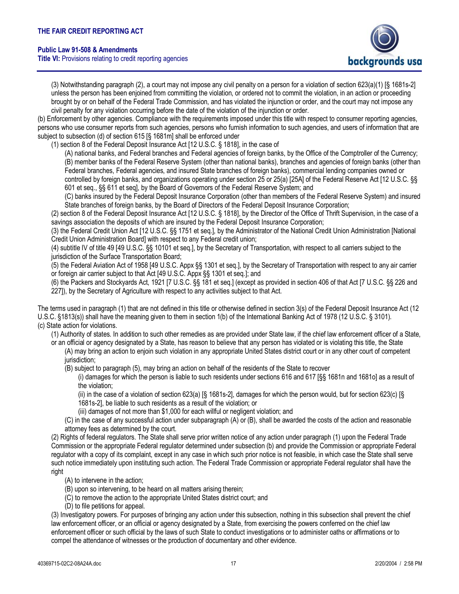

(3) Notwithstanding paragraph (2), a court may not impose any civil penalty on a person for a violation of section 623(a)(1) [ß 1681s-2] unless the person has been enjoined from committing the violation, or ordered not to commit the violation, in an action or proceeding brought by or on behalf of the Federal Trade Commission, and has violated the injunction or order, and the court may not impose any civil penalty for any violation occurring before the date of the violation of the injunction or order.

(b) Enforcement by other agencies. Compliance with the requirements imposed under this title with respect to consumer reporting agencies, persons who use consumer reports from such agencies, persons who furnish information to such agencies, and users of information that are subject to subsection (d) of section 615 [ß 1681m] shall be enforced under

(1) section 8 of the Federal Deposit Insurance Act [12 U.S.C. ß 1818], in the case of

(A) national banks, and Federal branches and Federal agencies of foreign banks, by the Office of the Comptroller of the Currency; (B) member banks of the Federal Reserve System (other than national banks), branches and agencies of foreign banks (other than Federal branches, Federal agencies, and insured State branches of foreign banks), commercial lending companies owned or controlled by foreign banks, and organizations operating under section 25 or 25(a) [25A] of the Federal Reserve Act [12 U.S.C. ßß 601 et seq., ßß 611 et seq], by the Board of Governors of the Federal Reserve System; and

(C) banks insured by the Federal Deposit Insurance Corporation (other than members of the Federal Reserve System) and insured State branches of foreign banks, by the Board of Directors of the Federal Deposit Insurance Corporation;

(2) section 8 of the Federal Deposit Insurance Act [12 U.S.C. ß 1818], by the Director of the Office of Thrift Supervision, in the case of a savings association the deposits of which are insured by the Federal Deposit Insurance Corporation;

(3) the Federal Credit Union Act [12 U.S.C. ßß 1751 et seq.], by the Administrator of the National Credit Union Administration [National Credit Union Administration Board] with respect to any Federal credit union;

(4) subtitle IV of title 49 [49 U.S.C. ßß 10101 et seq.], by the Secretary of Transportation, with respect to all carriers subject to the jurisdiction of the Surface Transportation Board;

(5) the Federal Aviation Act of 1958 [49 U.S.C. Appx §§ 1301 et seq.], by the Secretary of Transportation with respect to any air carrier or foreign air carrier subject to that Act [49 U.S.C. Appx ßß 1301 et seq.]; and

(6) the Packers and Stockyards Act, 1921 [7 U.S.C. ßß 181 et seq.] (except as provided in section 406 of that Act [7 U.S.C. ßß 226 and 227]), by the Secretary of Agriculture with respect to any activities subject to that Act.

The terms used in paragraph (1) that are not defined in this title or otherwise defined in section 3(s) of the Federal Deposit Insurance Act (12 U.S.C. ß1813(s)) shall have the meaning given to them in section 1(b) of the International Banking Act of 1978 (12 U.S.C. ß 3101). (c) State action for violations.

(1) Authority of states. In addition to such other remedies as are provided under State law, if the chief law enforcement officer of a State, or an official or agency designated by a State, has reason to believe that any person has violated or is violating this title, the State

(A) may bring an action to enjoin such violation in any appropriate United States district court or in any other court of competent jurisdiction;

(B) subject to paragraph (5), may bring an action on behalf of the residents of the State to recover

(i) damages for which the person is liable to such residents under sections 616 and 617 [ßß 1681n and 1681o] as a result of the violation;

(ii) in the case of a violation of section 623(a)  $\S$  1681s-2], damages for which the person would, but for section 623(c)  $\S$ 1681s-2], be liable to such residents as a result of the violation; or

(iii) damages of not more than \$1,000 for each willful or negligent violation; and

(C) in the case of any successful action under subparagraph (A) or (B), shall be awarded the costs of the action and reasonable attorney fees as determined by the court.

(2) Rights of federal regulators. The State shall serve prior written notice of any action under paragraph (1) upon the Federal Trade Commission or the appropriate Federal regulator determined under subsection (b) and provide the Commission or appropriate Federal regulator with a copy of its complaint, except in any case in which such prior notice is not feasible, in which case the State shall serve such notice immediately upon instituting such action. The Federal Trade Commission or appropriate Federal regulator shall have the right

- (A) to intervene in the action;
- (B) upon so intervening, to be heard on all matters arising therein;
- (C) to remove the action to the appropriate United States district court; and
- (D) to file petitions for appeal.

(3) Investigatory powers. For purposes of bringing any action under this subsection, nothing in this subsection shall prevent the chief law enforcement officer, or an official or agency designated by a State, from exercising the powers conferred on the chief law enforcement officer or such official by the laws of such State to conduct investigations or to administer oaths or affirmations or to compel the attendance of witnesses or the production of documentary and other evidence.